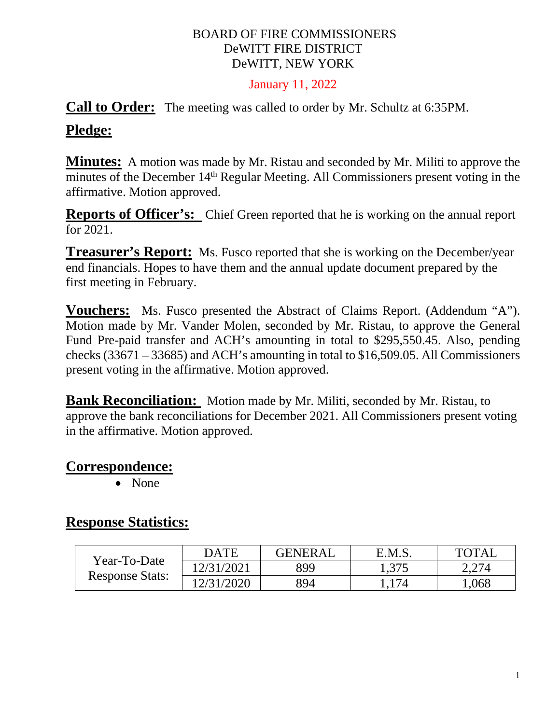#### BOARD OF FIRE COMMISSIONERS DeWITT FIRE DISTRICT DeWITT, NEW YORK

#### January 11, 2022

#### **Call to Order:** The meeting was called to order by Mr. Schultz at 6:35PM.

#### **Pledge:**

**Minutes:** A motion was made by Mr. Ristau and seconded by Mr. Militi to approve the minutes of the December 14<sup>th</sup> Regular Meeting. All Commissioners present voting in the affirmative. Motion approved.

**Reports of Officer's:** Chief Green reported that he is working on the annual report for 2021.

**Treasurer's Report:** Ms. Fusco reported that she is working on the December/year end financials. Hopes to have them and the annual update document prepared by the first meeting in February.

**Vouchers:** Ms. Fusco presented the Abstract of Claims Report. (Addendum "A"). Motion made by Mr. Vander Molen, seconded by Mr. Ristau, to approve the General Fund Pre-paid transfer and ACH's amounting in total to \$295,550.45. Also, pending checks (33671 – 33685) and ACH's amounting in total to \$16,509.05. All Commissioners present voting in the affirmative. Motion approved.

**Bank Reconciliation:** Motion made by Mr. Militi, seconded by Mr. Ristau, to approve the bank reconciliations for December 2021. All Commissioners present voting in the affirmative. Motion approved.

#### **Correspondence:**

• None

#### **Response Statistics:**

| Year-To-Date<br><b>Response Stats:</b> | <b>DATE</b> | <b>GENERAL</b> | E.M.S. | TOTAI |
|----------------------------------------|-------------|----------------|--------|-------|
|                                        | 12/31/2021  | 899            | 1,375  | 2,274 |
|                                        | 12/31/2020  | 894            |        | .068  |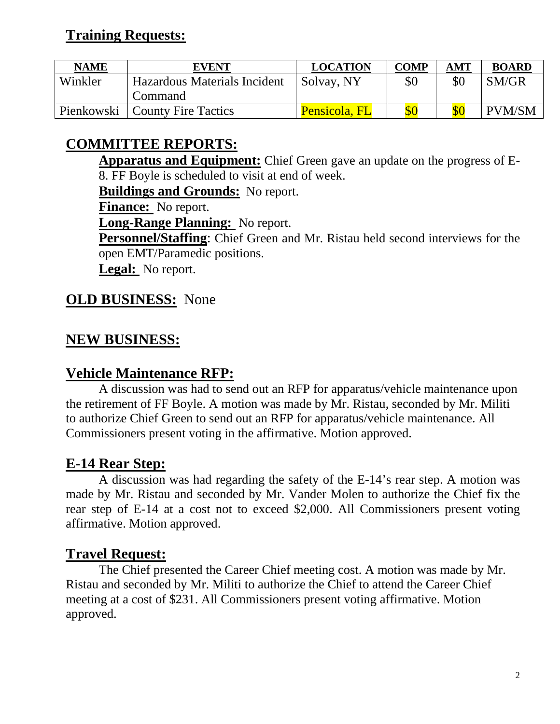## **Training Requests:**

| <b>NAME</b> | <b>EVENT</b>                 | <b>LOCATION</b> | <b>COMP</b> | AMT | <b>BOARD</b>  |
|-------------|------------------------------|-----------------|-------------|-----|---------------|
| Winkler     | Hazardous Materials Incident | Solvay, NY      | \$0         | \$0 | SM/GR         |
|             | Command-                     |                 |             |     |               |
| Pienkowski  | <b>County Fire Tactics</b>   | Pensicola, FL   |             |     | <b>PVM/SM</b> |

# **COMMITTEE REPORTS:**

**Apparatus and Equipment:** Chief Green gave an update on the progress of E-8. FF Boyle is scheduled to visit at end of week.

**Buildings and Grounds:** No report.

**Finance:** No report.

**Long-Range Planning:** No report.

**Personnel/Staffing**: Chief Green and Mr. Ristau held second interviews for the open EMT/Paramedic positions.

**Legal:** No report.

### **OLD BUSINESS:** None

### **NEW BUSINESS:**

#### **Vehicle Maintenance RFP:**

A discussion was had to send out an RFP for apparatus/vehicle maintenance upon the retirement of FF Boyle. A motion was made by Mr. Ristau, seconded by Mr. Militi to authorize Chief Green to send out an RFP for apparatus/vehicle maintenance. All Commissioners present voting in the affirmative. Motion approved.

## **E-14 Rear Step:**

A discussion was had regarding the safety of the E-14's rear step. A motion was made by Mr. Ristau and seconded by Mr. Vander Molen to authorize the Chief fix the rear step of E-14 at a cost not to exceed \$2,000. All Commissioners present voting affirmative. Motion approved.

#### **Travel Request:**

The Chief presented the Career Chief meeting cost. A motion was made by Mr. Ristau and seconded by Mr. Militi to authorize the Chief to attend the Career Chief meeting at a cost of \$231. All Commissioners present voting affirmative. Motion approved.